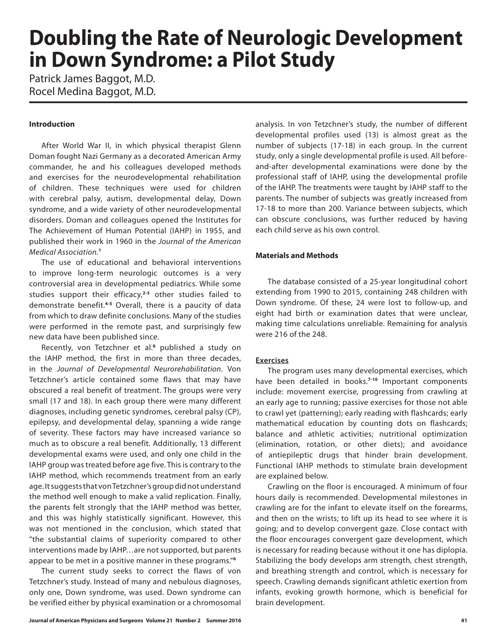# **Doubling the Rate of Neurologic Development in Down Syndrome: a Pilot Study**

Patrick James Baggot, M.D. Rocel Medina Baggot, M.D.

# **Introduction**

After World War II, in which physical therapist Glenn Doman fought Nazi Germany as a decorated American Army commander, he and his colleagues developed methods and exercises for the neurodevelopmental rehabilitation of children. These techniques were used for children with cerebral palsy, autism, developmental delay, Down syndrome, and a wide variety of other neurodevelopmental disorders. Doman and colleagues opened the Institutes for The Achievement of Human Potential (IAHP) in 1955, and published their work in 1960 in the *Journal of the American Medical Association.***<sup>1</sup>**

The use of educational and behavioral interventions to improve long-term neurologic outcomes is a very controversial area in developmental pediatrics. While some studies support their efficacy,**2-3** other studies failed to demonstrate benefit.**4-5** Overall, there is a paucity of data from which to draw definite conclusions. Many of the studies were performed in the remote past, and surprisingly few new data have been published since.

Recently, von Tetzchner et al.**<sup>6</sup>** published a study on the IAHP method, the first in more than three decades, in the *Journal of Developmental Neurorehabilitation*. Von Tetzchner's article contained some flaws that may have obscured a real benefit of treatment. The groups were very small (17 and 18). In each group there were many different diagnoses, including genetic syndromes, cerebral palsy (CP), epilepsy, and developmental delay, spanning a wide range of severity. These factors may have increased variance so much as to obscure a real benefit. Additionally, 13 different developmental exams were used, and only one child in the IAHP group was treated before age five. This is contrary to the IAHP method, which recommends treatment from an early age. It suggests that von Tetzchner's group did not understand the method well enough to make a valid replication. Finally, the parents felt strongly that the IAHP method was better, and this was highly statistically significant. However, this was not mentioned in the conclusion, which stated that "the substantial claims of superiority compared to other interventions made by IAHP…are not supported, but parents appear to be met in a positive manner in these programs."**<sup>6</sup>**

The current study seeks to correct the flaws of von Tetzchner's study. Instead of many and nebulous diagnoses, only one, Down syndrome, was used. Down syndrome can be verified either by physical examination or a chromosomal

analysis. In von Tetzchner's study, the number of different developmental profiles used (13) is almost great as the number of subjects (17-18) in each group. In the current study, only a single developmental profile is used. All beforeand-after developmental examinations were done by the professional staff of IAHP, using the developmental profile of the IAHP. The treatments were taught by IAHP staff to the parents. The number of subjects was greatly increased from 17-18 to more than 200. Variance between subjects, which can obscure conclusions, was further reduced by having each child serve as his own control.

### **Materials and Methods**

The database consisted of a 25-year longitudinal cohort extending from 1990 to 2015, containing 248 children with Down syndrome. Of these, 24 were lost to follow-up, and eight had birth or examination dates that were unclear, making time calculations unreliable. Remaining for analysis were 216 of the 248.

### **Exercises**

The program uses many developmental exercises, which have been detailed in books.**7-10** Important components include: movement exercise, progressing from crawling at an early age to running; passive exercises for those not able to crawl yet (patterning); early reading with flashcards; early mathematical education by counting dots on flashcards; balance and athletic activities; nutritional optimization (elimination, rotation, or other diets); and avoidance of antiepileptic drugs that hinder brain development. Functional IAHP methods to stimulate brain development are explained below.

Crawling on the floor is encouraged. A minimum of four hours daily is recommended. Developmental milestones in crawling are for the infant to elevate itself on the forearms, and then on the wrists; to lift up its head to see where it is going; and to develop convergent gaze. Close contact with the floor encourages convergent gaze development, which is necessary for reading because without it one has diplopia. Stabilizing the body develops arm strength, chest strength, and breathing strength and control, which is necessary for speech. Crawling demands significant athletic exertion from infants, evoking growth hormone, which is beneficial for brain development.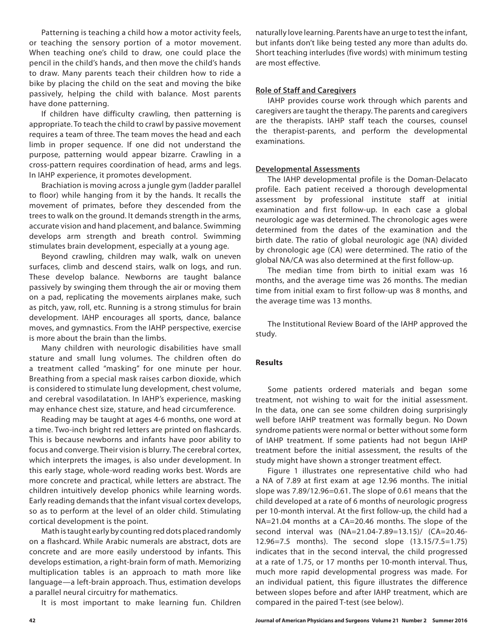Patterning is teaching a child how a motor activity feels, or teaching the sensory portion of a motor movement. When teaching one's child to draw, one could place the pencil in the child's hands, and then move the child's hands to draw. Many parents teach their children how to ride a bike by placing the child on the seat and moving the bike passively, helping the child with balance. Most parents have done patterning.

If children have difficulty crawling, then patterning is appropriate. To teach the child to crawl by passive movement requires a team of three. The team moves the head and each limb in proper sequence. If one did not understand the purpose, patterning would appear bizarre. Crawling in a cross-pattern requires coordination of head, arms and legs. In IAHP experience, it promotes development.

Brachiation is moving across a jungle gym (ladder parallel to floor) while hanging from it by the hands. It recalls the movement of primates, before they descended from the trees to walk on the ground. It demands strength in the arms, accurate vision and hand placement, and balance. Swimming develops arm strength and breath control. Swimming stimulates brain development, especially at a young age.

Beyond crawling, children may walk, walk on uneven surfaces, climb and descend stairs, walk on logs, and run. These develop balance. Newborns are taught balance passively by swinging them through the air or moving them on a pad, replicating the movements airplanes make, such as pitch, yaw, roll, etc. Running is a strong stimulus for brain development. IAHP encourages all sports, dance, balance moves, and gymnastics. From the IAHP perspective, exercise is more about the brain than the limbs.

Many children with neurologic disabilities have small stature and small lung volumes. The children often do a treatment called "masking" for one minute per hour. Breathing from a special mask raises carbon dioxide, which is considered to stimulate lung development, chest volume, and cerebral vasodilatation. In IAHP's experience, masking may enhance chest size, stature, and head circumference.

Reading may be taught at ages 4-6 months, one word at a time. Two-inch bright red letters are printed on flashcards. This is because newborns and infants have poor ability to focus and converge. Their vision is blurry. The cerebral cortex, which interprets the images, is also under development. In this early stage, whole-word reading works best. Words are more concrete and practical, while letters are abstract. The children intuitively develop phonics while learning words. Early reading demands that the infant visual cortex develops, so as to perform at the level of an older child. Stimulating cortical development is the point.

Math is taught early by counting red dots placed randomly on a flashcard. While Arabic numerals are abstract, dots are concrete and are more easily understood by infants. This develops estimation, a right-brain form of math. Memorizing multiplication tables is an approach to math more like language—a left-brain approach. Thus, estimation develops a parallel neural circuitry for mathematics.

It is most important to make learning fun. Children

naturally love learning. Parents have an urge to test the infant, but infants don't like being tested any more than adults do. Short teaching interludes (five words) with minimum testing are most effective.

# **Role of Staff and Caregivers**

IAHP provides course work through which parents and caregivers are taught the therapy. The parents and caregivers are the therapists. IAHP staff teach the courses, counsel the therapist-parents, and perform the developmental examinations.

### **Developmental Assessments**

The IAHP developmental profile is the Doman-Delacato profile. Each patient received a thorough developmental assessment by professional institute staff at initial examination and first follow-up. In each case a global neurologic age was determined. The chronologic ages were determined from the dates of the examination and the birth date. The ratio of global neurologic age (NA) divided by chronologic age (CA) were determined. The ratio of the global NA/CA was also determined at the first follow-up.

The median time from birth to initial exam was 16 months, and the average time was 26 months. The median time from initial exam to first follow-up was 8 months, and the average time was 13 months.

The Institutional Review Board of the IAHP approved the study.

### **Results**

Some patients ordered materials and began some treatment, not wishing to wait for the initial assessment. In the data, one can see some children doing surprisingly well before IAHP treatment was formally begun. No Down syndrome patients were normal or better without some form of IAHP treatment. If some patients had not begun IAHP treatment before the initial assessment, the results of the study might have shown a stronger treatment effect.

Figure 1 illustrates one representative child who had a NA of 7.89 at first exam at age 12.96 months. The initial slope was 7.89/12.96=0.61. The slope of 0.61 means that the child developed at a rate of 6 months of neurologic progress per 10-month interval. At the first follow-up, the child had a NA=21.04 months at a CA=20.46 months. The slope of the second interval was (NA=21.04-7.89=13.15)/ (CA=20.46- 12.96=7.5 months). The second slope (13.15/7.5=1.75) indicates that in the second interval, the child progressed at a rate of 1.75, or 17 months per 10-month interval. Thus, much more rapid developmental progress was made. For an individual patient, this figure illustrates the difference between slopes before and after IAHP treatment, which are compared in the paired T-test (see below).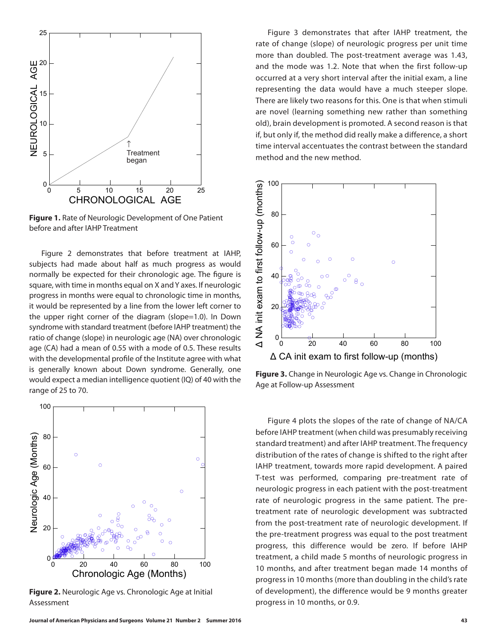

**Figure 1.** Rate of Neurologic Development of One Patient before and after IAHP Treatment

Figure 2 demonstrates that before treatment at IAHP, subjects had made about half as much progress as would normally be expected for their chronologic age. The figure is square, with time in months equal on X and Y axes. If neurologic progress in months were equal to chronologic time in months, it would be represented by a line from the lower left corner to the upper right corner of the diagram (slope=1.0). In Down syndrome with standard treatment (before IAHP treatment) the ratio of change (slope) in neurologic age (NA) over chronologic age (CA) had a mean of 0.55 with a mode of 0.5. These results with the developmental profile of the Institute agree with what is generally known about Down syndrome. Generally, one would expect a median intelligence quotient (IQ) of 40 with the range of 25 to 70.



**Figure 2.** Neurologic Age vs. Chronologic Age at Initial Assessment

Figure 3 demonstrates that after IAHP treatment, the rate of change (slope) of neurologic progress per unit time more than doubled. The post-treatment average was 1.43, and the mode was 1.2. Note that when the first follow-up occurred at a very short interval after the initial exam, a line representing the data would have a much steeper slope. There are likely two reasons for this. One is that when stimuli are novel (learning something new rather than something old), brain development is promoted. A second reason is that if, but only if, the method did really make a difference, a short time interval accentuates the contrast between the standard method and the new method.



**Figure 3.** Change in Neurologic Age vs. Change in Chronologic Age at Follow-up Assessment

Figure 4 plots the slopes of the rate of change of NA/CA before IAHP treatment (when child was presumably receiving standard treatment) and after IAHP treatment. The frequency distribution of the rates of change is shifted to the right after IAHP treatment, towards more rapid development. A paired T-test was performed, comparing pre-treatment rate of neurologic progress in each patient with the post-treatment rate of neurologic progress in the same patient. The pretreatment rate of neurologic development was subtracted from the post-treatment rate of neurologic development. If the pre-treatment progress was equal to the post treatment progress, this difference would be zero. If before IAHP treatment, a child made 5 months of neurologic progress in 10 months, and after treatment began made 14 months of progress in 10 months (more than doubling in the child's rate of development), the difference would be 9 months greater progress in 10 months, or 0.9.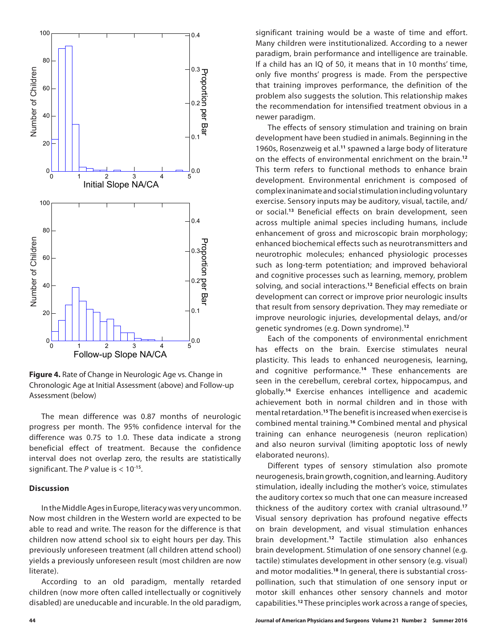

**Figure 4.** Rate of Change in Neurologic Age vs. Change in Chronologic Age at Initial Assessment (above) and Follow-up

The mean difference was 0.87 months of neurologic progress per month. The 95% confidence interval for the difference was 0.75 to 1.0. These data indicate a strong beneficial effect of treatment. Because the confidence interval does not overlap zero, the results are statistically significant. The *P* value is < 10**-15**.

# **Discussion**

In the Middle Ages in Europe, literacy was very uncommon. Now most children in the Western world are expected to be able to read and write. The reason for the difference is that children now attend school six to eight hours per day. This previously unforeseen treatment (all children attend school) yields a previously unforeseen result (most children are now literate).

According to an old paradigm, mentally retarded children (now more often called intellectually or cognitively disabled) are uneducable and incurable. In the old paradigm, significant training would be a waste of time and effort. Many children were institutionalized. According to a newer paradigm, brain performance and intelligence are trainable. If a child has an IQ of 50, it means that in 10 months' time, only five months' progress is made. From the perspective that training improves performance, the definition of the problem also suggests the solution. This relationship makes the recommendation for intensified treatment obvious in a newer paradigm.

The effects of sensory stimulation and training on brain development have been studied in animals. Beginning in the 1960s, Rosenzweig et al.**<sup>11</sup>** spawned a large body of literature on the effects of environmental enrichment on the brain.**<sup>12</sup>** This term refers to functional methods to enhance brain development. Environmental enrichment is composed of complex inanimate and social stimulation including voluntary exercise. Sensory inputs may be auditory, visual, tactile, and/ or social.**<sup>13</sup>** Beneficial effects on brain development, seen across multiple animal species including humans, include enhancement of gross and microscopic brain morphology; enhanced biochemical effects such as neurotransmitters and neurotrophic molecules; enhanced physiologic processes such as long-term potentiation; and improved behavioral and cognitive processes such as learning, memory, problem solving, and social interactions.**<sup>12</sup>** Beneficial effects on brain development can correct or improve prior neurologic insults that result from sensory deprivation. They may remediate or improve neurologic injuries, developmental delays, and/or genetic syndromes (e.g. Down syndrome).**<sup>12</sup>**

Each of the components of environmental enrichment has effects on the brain. Exercise stimulates neural plasticity. This leads to enhanced neurogenesis, learning, and cognitive performance.**<sup>14</sup>** These enhancements are seen in the cerebellum, cerebral cortex, hippocampus, and globally.**<sup>14</sup>** Exercise enhances intelligence and academic achievement both in normal children and in those with mental retardation.**<sup>15</sup>** The benefit is increased when exercise is combined mental training.**<sup>16</sup>** Combined mental and physical training can enhance neurogenesis (neuron replication) and also neuron survival (limiting apoptotic loss of newly elaborated neurons).

Different types of sensory stimulation also promote neurogenesis, brain growth, cognition, and learning. Auditory stimulation, ideally including the mother's voice, stimulates the auditory cortex so much that one can measure increased thickness of the auditory cortex with cranial ultrasound.**<sup>17</sup>** Visual sensory deprivation has profound negative effects on brain development, and visual stimulation enhances brain development.**<sup>12</sup>** Tactile stimulation also enhances brain development. Stimulation of one sensory channel (e.g. tactile) stimulates development in other sensory (e.g. visual) and motor modalities.**18** In general, there is substantial crosspollination, such that stimulation of one sensory input or motor skill enhances other sensory channels and motor capabilities.**<sup>12</sup>** These principles work across a range of species,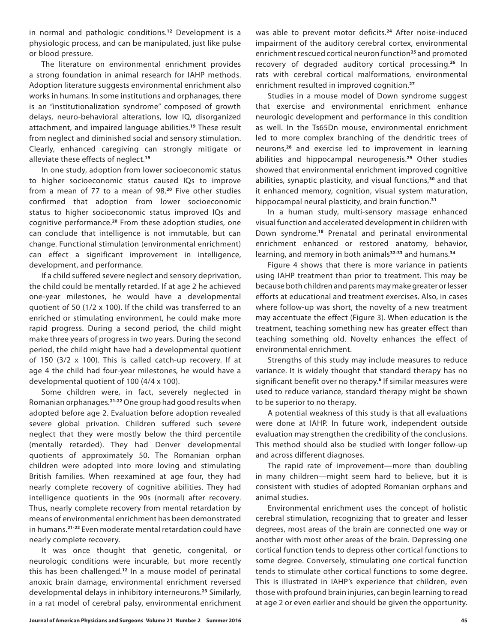in normal and pathologic conditions.**<sup>12</sup>** Development is a physiologic process, and can be manipulated, just like pulse or blood pressure.

The literature on environmental enrichment provides a strong foundation in animal research for IAHP methods. Adoption literature suggests environmental enrichment also works in humans. In some institutions and orphanages, there is an "institutionalization syndrome" composed of growth delays, neuro-behavioral alterations, low IQ, disorganized attachment, and impaired language abilities.**<sup>19</sup>** These result from neglect and diminished social and sensory stimulation. Clearly, enhanced caregiving can strongly mitigate or alleviate these effects of neglect.**<sup>19</sup>**

In one study, adoption from lower socioeconomic status to higher socioeconomic status caused IQs to improve from a mean of 77 to a mean of 98.**<sup>20</sup>** Five other studies confirmed that adoption from lower socioeconomic status to higher socioeconomic status improved IQs and cognitive performance.**<sup>20</sup>** From these adoption studies, one can conclude that intelligence is not immutable, but can change. Functional stimulation (environmental enrichment) can effect a significant improvement in intelligence, development, and performance.

If a child suffered severe neglect and sensory deprivation, the child could be mentally retarded. If at age 2 he achieved one-year milestones, he would have a developmental quotient of 50 (1/2 x 100). If the child was transferred to an enriched or stimulating environment, he could make more rapid progress. During a second period, the child might make three years of progress in two years. During the second period, the child might have had a developmental quotient of 150 (3/2 x 100). This is called catch-up recovery. If at age 4 the child had four-year milestones, he would have a developmental quotient of 100 (4/4 x 100).

Some children were, in fact, severely neglected in Romanian orphanages.**21-22** One group had good results when adopted before age 2. Evaluation before adoption revealed severe global privation. Children suffered such severe neglect that they were mostly below the third percentile (mentally retarded). They had Denver developmental quotients of approximately 50. The Romanian orphan children were adopted into more loving and stimulating British families. When reexamined at age four, they had nearly complete recovery of cognitive abilities. They had intelligence quotients in the 90s (normal) after recovery. Thus, nearly complete recovery from mental retardation by means of environmental enrichment has been demonstrated in humans.**21-22** Even moderate mental retardation could have nearly complete recovery.

It was once thought that genetic, congenital, or neurologic conditions were incurable, but more recently this has been challenged.**<sup>12</sup>** In a mouse model of perinatal anoxic brain damage, environmental enrichment reversed developmental delays in inhibitory interneurons.**<sup>23</sup>** Similarly, in a rat model of cerebral palsy, environmental enrichment was able to prevent motor deficits.**<sup>24</sup>** After noise-induced impairment of the auditory cerebral cortex, environmental enrichment rescued cortical neuron function**<sup>25</sup>** and promoted recovery of degraded auditory cortical processing.**<sup>26</sup>** In rats with cerebral cortical malformations, environmental enrichment resulted in improved cognition.**<sup>27</sup>**

Studies in a mouse model of Down syndrome suggest that exercise and environmental enrichment enhance neurologic development and performance in this condition as well. In the Ts65Dn mouse, environmental enrichment led to more complex branching of the dendritic trees of neurons,**<sup>28</sup>** and exercise led to improvement in learning abilities and hippocampal neurogenesis.**<sup>29</sup>** Other studies showed that environmental enrichment improved cognitive abilities, synaptic plasticity, and visual functions,**<sup>30</sup>** and that it enhanced memory, cognition, visual system maturation, hippocampal neural plasticity, and brain function.**<sup>31</sup>**

In a human study, multi-sensory massage enhanced visual function and accelerated development in children with Down syndrome.**<sup>18</sup>** Prenatal and perinatal environmental enrichment enhanced or restored anatomy, behavior, learning, and memory in both animals**32-33** and humans.**<sup>34</sup>**

Figure 4 shows that there is more variance in patients using IAHP treatment than prior to treatment. This may be because both children and parents may make greater or lesser efforts at educational and treatment exercises. Also, in cases where follow-up was short, the novelty of a new treatment may accentuate the effect (Figure 3). When education is the treatment, teaching something new has greater effect than teaching something old. Novelty enhances the effect of environmental enrichment.

Strengths of this study may include measures to reduce variance. It is widely thought that standard therapy has no significant benefit over no therapy.**<sup>6</sup>** If similar measures were used to reduce variance, standard therapy might be shown to be superior to no therapy.

A potential weakness of this study is that all evaluations were done at IAHP. In future work, independent outside evaluation may strengthen the credibility of the conclusions. This method should also be studied with longer follow-up and across different diagnoses.

The rapid rate of improvement—more than doubling in many children—might seem hard to believe, but it is consistent with studies of adopted Romanian orphans and animal studies.

Environmental enrichment uses the concept of holistic cerebral stimulation, recognizing that to greater and lesser degrees, most areas of the brain are connected one way or another with most other areas of the brain. Depressing one cortical function tends to depress other cortical functions to some degree. Conversely, stimulating one cortical function tends to stimulate other cortical functions to some degree. This is illustrated in IAHP's experience that children, even those with profound brain injuries, can begin learning to read at age 2 or even earlier and should be given the opportunity.